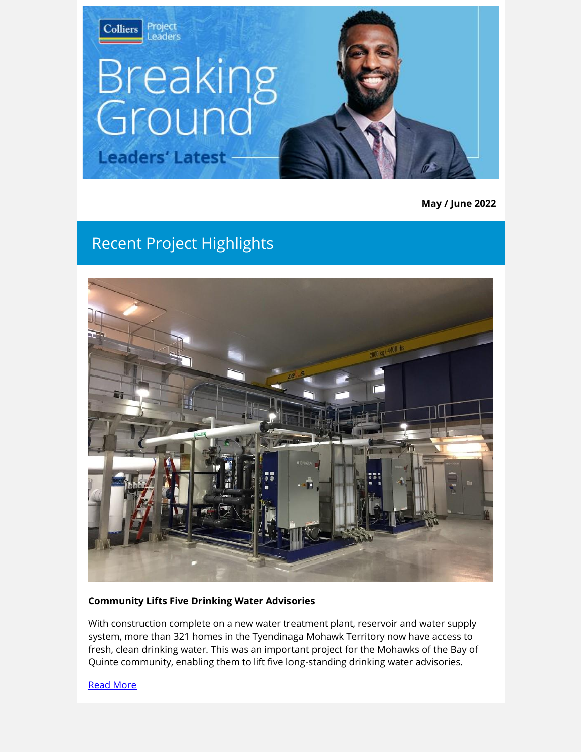

**May / June 2022**

# Recent Project Highlights



### **Community Lifts Five Drinking Water Advisories**

With construction complete on a new water treatment plant, reservoir and water supply system, more than 321 homes in the Tyendinaga Mohawk Territory now have access to fresh, clean drinking water. This was an important project for the Mohawks of the Bay of Quinte community, enabling them to lift five long-standing drinking water advisories.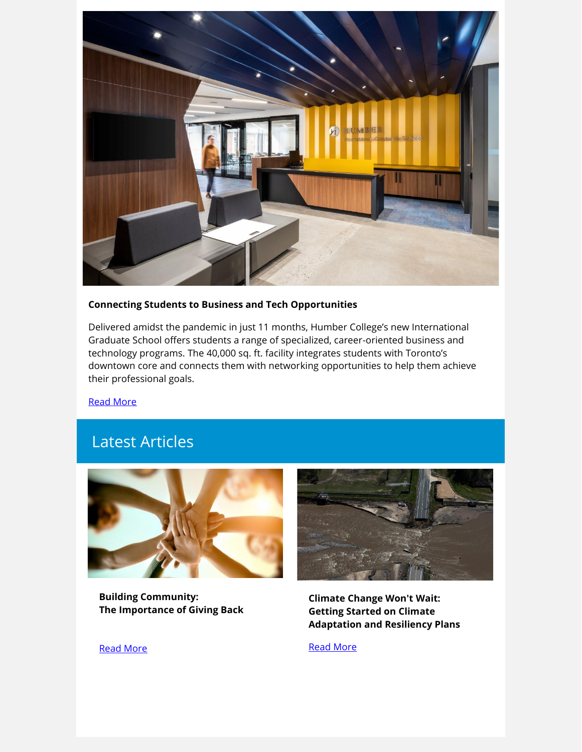

#### **Connecting Students to Business and Tech Opportunities**

Delivered amidst the pandemic in just 11 months, Humber College's new International Graduate School offers students a range of specialized, career-oriented business and technology programs. The 40,000 sq. ft. facility integrates students with Toronto's downtown core and connects them with networking opportunities to help them achieve their professional goals.

[Read More](http://link.colliersprojectleaders.com/c/7/eyJhaSI6MjM3NzQzNzUsImUiOiJlcmljYS5taXNrZXdAY29sbGllcnNwcm9qZWN0bGVhZGVycy5jb20iLCJyaSI6ImxlYWQtYWI4NzVjZDM2N2ZmZWExMWE4MTIwMDBkM2EwYzgzYmYtNWMwMTU2Yjk4ZGJiNDlhMjg2OGIwMzg3MDFlNjZjZjQiLCJycSI6IjAyLWIyMjE0NS0yMDExY2Y2NDRjZjE0ODAwOWJiYzNjYTBkOWU3ZWIyOCIsInBoIjpudWxsLCJtIjpmYWxzZSwidWkiOiIxIiwidW4iOiIiLCJ1IjoiaHR0cHM6Ly93d3cuY29sbGllcnNwcm9qZWN0bGVhZGVycy5jb20vcHJvamVjdHMvY29ubmVjdGluZy1pbnRlcm5hdGlvbmFsLXN0dWRlbnRzLXRvLWJ1c2luZXNzLWFuZC10ZWNoLW9wcG9ydHVuaXRpZXMvP3V0bV9zb3VyY2U9YnJlYWtpbmdncm91bmQxMSZ1dG1fbWVkaXVtPWVtYWlsJnV0bV9jYW1wYWlnbj1tYXkyNSZfY2xkZWU9Z2h3SnpLNHFqLWVoZDhYS2wwak1JaTVqREc0M0ZRSlV3MlNpT294T3JvaVBEbUwtbjNVWEJ4ZTVSRVViNmM4andVQklKWDNTMlVUc0kzWnRjX3JMNEEmcmVjaXBpZW50aWQ9bGVhZC1hYjg3NWNkMzY3ZmZlYTExYTgxMjAwMGQzYTBjODNiZi01YzAxNTZiOThkYmI0OWEyODY4YjAzODcwMWU2NmNmNCZlc2lkPWExOTQ2ZWY3LWFkZDctZWMxMS1hN2I1LTAwMGQzYWU5NTRiMyJ9/VThDv9TxV40WKuXkzcsg2A)

## Latest Articles



**Building Community: The Importance of Giving Back**



**Climate Change Won't Wait: Getting Started on Climate Adaptation and Resiliency Plans**

[Read More](http://link.colliersprojectleaders.com/c/7/eyJhaSI6MjM3NzQzNzUsImUiOiJlcmljYS5taXNrZXdAY29sbGllcnNwcm9qZWN0bGVhZGVycy5jb20iLCJyaSI6ImxlYWQtYWI4NzVjZDM2N2ZmZWExMWE4MTIwMDBkM2EwYzgzYmYtNWMwMTU2Yjk4ZGJiNDlhMjg2OGIwMzg3MDFlNjZjZjQiLCJycSI6IjAyLWIyMjE0NS0yMDExY2Y2NDRjZjE0ODAwOWJiYzNjYTBkOWU3ZWIyOCIsInBoIjpudWxsLCJtIjpmYWxzZSwidWkiOiIzIiwidW4iOiIiLCJ1IjoiaHR0cHM6Ly93d3cuY29sbGllcnNwcm9qZWN0bGVhZGVycy5jb20vaW5zaWdodHMvY2xpbWF0ZS1jaGFuZ2Utd29udC13YWl0LWdldHRpbmctc3RhcnRlZC1vbi1jbGltYXRlLWFkYXB0YXRpb24tYW5kLXJlc2lsaWVuY3ktcGxhbnMvP3V0bV9zb3VyY2U9YnJlYWtpbmdncm91bmQxMSZ1dG1fbWVkaXVtPWVtYWlsJnV0bV9jYW1wYWlnbj1tYXkyNSZfY2xkZWU9Z2h3SnpLNHFqLWVoZDhYS2wwak1JaTVqREc0M0ZRSlV3MlNpT294T3JvaVBEbUwtbjNVWEJ4ZTVSRVViNmM4andVQklKWDNTMlVUc0kzWnRjX3JMNEEmcmVjaXBpZW50aWQ9bGVhZC1hYjg3NWNkMzY3ZmZlYTExYTgxMjAwMGQzYTBjODNiZi01YzAxNTZiOThkYmI0OWEyODY4YjAzODcwMWU2NmNmNCZlc2lkPWExOTQ2ZWY3LWFkZDctZWMxMS1hN2I1LTAwMGQzYWU5NTRiMyJ9/nhRMBF86GZ3G8TmAYVm67w)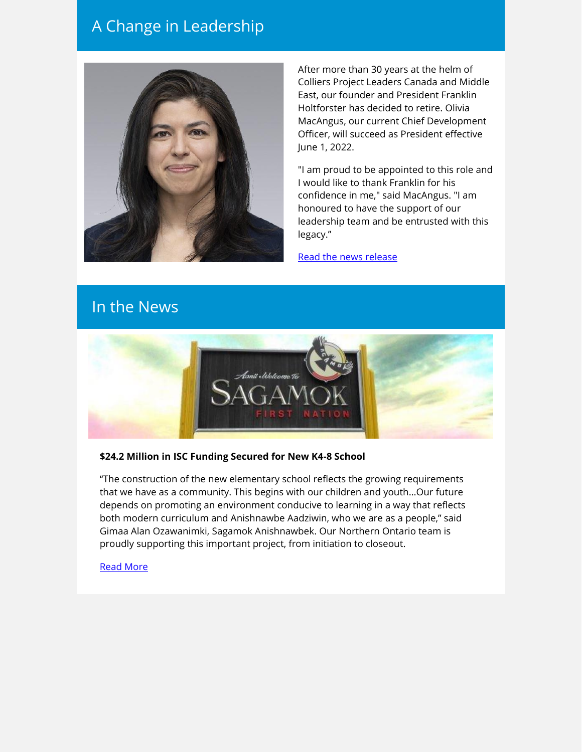## A Change in Leadership



After more than 30 years at the helm of Colliers Project Leaders Canada and Middle East, our founder and President Franklin Holtforster has decided to retire. Olivia MacAngus, our current Chief Development Officer, will succeed as President effective June 1, 2022.

"I am proud to be appointed to this role and I would like to thank Franklin for his confidence in me," said MacAngus. "I am honoured to have the support of our leadership team and be entrusted with this legacy."

[Read the news release](http://link.colliersprojectleaders.com/c/7/eyJhaSI6MjM3NzQzNzUsImUiOiJlcmljYS5taXNrZXdAY29sbGllcnNwcm9qZWN0bGVhZGVycy5jb20iLCJyaSI6ImxlYWQtYWI4NzVjZDM2N2ZmZWExMWE4MTIwMDBkM2EwYzgzYmYtNWMwMTU2Yjk4ZGJiNDlhMjg2OGIwMzg3MDFlNjZjZjQiLCJycSI6IjAyLWIyMjE0NS0yMDExY2Y2NDRjZjE0ODAwOWJiYzNjYTBkOWU3ZWIyOCIsInBoIjpudWxsLCJtIjpmYWxzZSwidWkiOiI0IiwidW4iOiIiLCJ1IjoiaHR0cHM6Ly93d3cuY29sbGllcnNwcm9qZWN0bGVhZGVycy5jb20vbmV3cy9jb2xsaWVycy1wcm9qZWN0LWxlYWRlcnMtYW5ub3VuY2VzLWxlYWRlcnNoaXAtdHJhbnNpdGlvbi8_dXRtX3NvdXJjZT1icmVha2luZ2dyb3VuZDExJnV0bV9tZWRpdW09ZW1haWwmdXRtX2NhbXBhaWduPW1heTI1Jl9jbGRlZT1naHdKeks0cWotZWhkOFhLbDBqTUlpNWpERzQzRlFKVXcyU2lPb3hPcm9pUERtTC1uM1VYQnhlNVJFVWI2Yzhqd1VCSUpYM1MyVVRzSTNadGNfckw0QSZyZWNpcGllbnRpZD1sZWFkLWFiODc1Y2QzNjdmZmVhMTFhODEyMDAwZDNhMGM4M2JmLTVjMDE1NmI5OGRiYjQ5YTI4NjhiMDM4NzAxZTY2Y2Y0JmVzaWQ9YTE5NDZlZjctYWRkNy1lYzExLWE3YjUtMDAwZDNhZTk1NGIzIn0/5iRRFRAXzONr5pBwfF-d3Q)

## In the News



### **\$24.2 Million in ISC Funding Secured for New K4-8 School**

"The construction of the new elementary school reflects the growing requirements that we have as a community. This begins with our children and youth…Our future depends on promoting an environment conducive to learning in a way that reflects both modern curriculum and Anishnawbe Aadziwin, who we are as a people," said Gimaa Alan Ozawanimki, Sagamok Anishnawbek. Our Northern Ontario team is proudly supporting this important project, from initiation to closeout.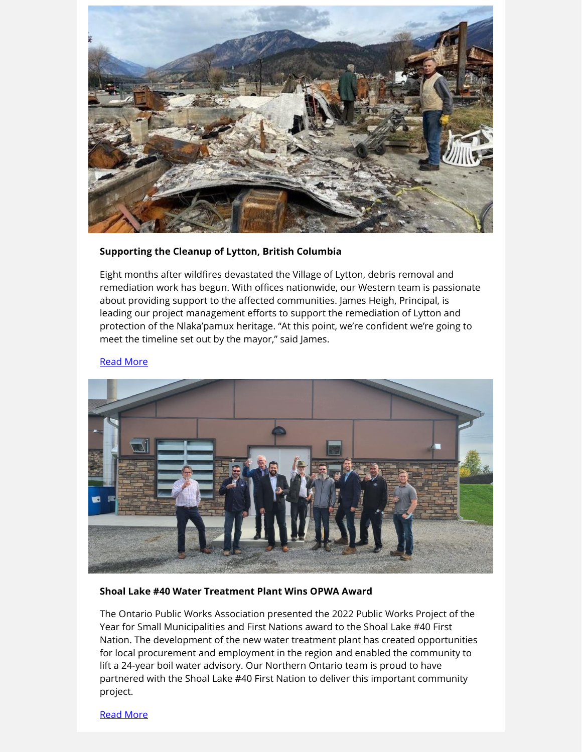

#### **Supporting the Cleanup of Lytton, British Columbia**

Eight months after wildfires devastated the Village of Lytton, debris removal and remediation work has begun. With offices nationwide, our Western team is passionate about providing support to the affected communities. James Heigh, Principal, is leading our project management efforts to support the remediation of Lytton and protection of the Nlaka'pamux heritage. "At this point, we're confident we're going to meet the timeline set out by the mayor," said James.

#### [Read More](http://link.colliersprojectleaders.com/c/7/eyJhaSI6MjM3NzQzNzUsImUiOiJlcmljYS5taXNrZXdAY29sbGllcnNwcm9qZWN0bGVhZGVycy5jb20iLCJyaSI6ImxlYWQtYWI4NzVjZDM2N2ZmZWExMWE4MTIwMDBkM2EwYzgzYmYtNWMwMTU2Yjk4ZGJiNDlhMjg2OGIwMzg3MDFlNjZjZjQiLCJycSI6IjAyLWIyMjE0NS0yMDExY2Y2NDRjZjE0ODAwOWJiYzNjYTBkOWU3ZWIyOCIsInBoIjpudWxsLCJtIjpmYWxzZSwidWkiOiI2IiwidW4iOiIiLCJ1IjoiaHR0cHM6Ly9iYy5jdHZuZXdzLmNhL3dlLWp1c3QtZmVlbC1mb3Jnb3R0ZW4tY2xlYW51cC10by1zdGFydC1tb3JlLXRoYW4tOC1tb250aHMtYWZ0ZXItbHl0dG9uLWItYy13aWxkZmlyZS0xLjU4MTA4NjY_X2NsZGVlPWdod0p6SzRxai1laGQ4WEtsMGpNSWk1akRHNDNGUUpVdzJTaU9veE9yb2lQRG1MLW4zVVhCeGU1UkVVYjZjOGp3VUJJSlgzUzJVVHNJM1p0Y19yTDRBJnJlY2lwaWVudGlkPWxlYWQtYWI4NzVjZDM2N2ZmZWExMWE4MTIwMDBkM2EwYzgzYmYtNWMwMTU2Yjk4ZGJiNDlhMjg2OGIwMzg3MDFlNjZjZjQmZXNpZD1hMTk0NmVmNy1hZGQ3LWVjMTEtYTdiNS0wMDBkM2FlOTU0YjMifQ/WfdOn2s2TxEiKtVAb7fvCA)



#### **Shoal Lake #40 Water Treatment Plant Wins OPWA Award**

The Ontario Public Works Association presented the 2022 Public Works Project of the Year for Small Municipalities and First Nations award to the Shoal Lake #40 First Nation. The development of the new water treatment plant has created opportunities for local procurement and employment in the region and enabled the community to lift a 24-year boil water advisory. Our Northern Ontario team is proud to have partnered with the Shoal Lake #40 First Nation to deliver this important community project.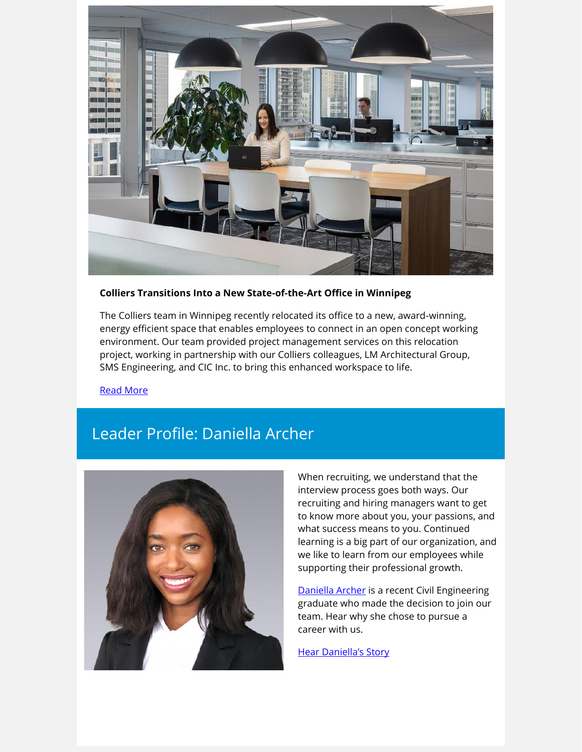

#### **Colliers Transitions Into a New State-of-the-Art Office in Winnipeg**

The Colliers team in Winnipeg recently relocated its office to a new, award-winning, energy efficient space that enables employees to connect in an open concept working environment. Our team provided project management services on this relocation project, working in partnership with our Colliers colleagues, LM Architectural Group, SMS Engineering, and CIC Inc. to bring this enhanced workspace to life.

[Read More](http://link.colliersprojectleaders.com/c/7/eyJhaSI6MjM3NzQzNzUsImUiOiJlcmljYS5taXNrZXdAY29sbGllcnNwcm9qZWN0bGVhZGVycy5jb20iLCJyaSI6ImxlYWQtYWI4NzVjZDM2N2ZmZWExMWE4MTIwMDBkM2EwYzgzYmYtNWMwMTU2Yjk4ZGJiNDlhMjg2OGIwMzg3MDFlNjZjZjQiLCJycSI6IjAyLWIyMjE0NS0yMDExY2Y2NDRjZjE0ODAwOWJiYzNjYTBkOWU3ZWIyOCIsInBoIjpudWxsLCJtIjpmYWxzZSwidWkiOiI4IiwidW4iOiIiLCJ1IjoiaHR0cHM6Ly93d3cuY29sbGllcnNwcm9qZWN0bGVhZGVycy5jb20vbmV3cy9kZWxpdmVyaW5nLWEtbmV3LXN0YXRlLW9mLXRoZS1hcnQtY29sbGllcnMtb2ZmaWNlLWluLXdpbm5pcGVnLz91dG1fc291cmNlPWJyZWFraW5nZ3JvdW5kMTEmdXRtX21lZGl1bT1lbWFpbCZ1dG1fY2FtcGFpZ249bWF5MjUmX2NsZGVlPWdod0p6SzRxai1laGQ4WEtsMGpNSWk1akRHNDNGUUpVdzJTaU9veE9yb2lQRG1MLW4zVVhCeGU1UkVVYjZjOGp3VUJJSlgzUzJVVHNJM1p0Y19yTDRBJnJlY2lwaWVudGlkPWxlYWQtYWI4NzVjZDM2N2ZmZWExMWE4MTIwMDBkM2EwYzgzYmYtNWMwMTU2Yjk4ZGJiNDlhMjg2OGIwMzg3MDFlNjZjZjQmZXNpZD1hMTk0NmVmNy1hZGQ3LWVjMTEtYTdiNS0wMDBkM2FlOTU0YjMifQ/gUq9MsBoHeVzttItTC7iAA)

## Leader Profile: Daniella Archer



When recruiting, we understand that the interview process goes both ways. Our recruiting and hiring managers want to get to know more about you, your passions, and what success means to you. Continued learning is a big part of our organization, and we like to learn from our employees while supporting their professional growth.

[Daniella Archer](http://link.colliersprojectleaders.com/c/7/eyJhaSI6MjM3NzQzNzUsImUiOiJlcmljYS5taXNrZXdAY29sbGllcnNwcm9qZWN0bGVhZGVycy5jb20iLCJyaSI6ImxlYWQtYWI4NzVjZDM2N2ZmZWExMWE4MTIwMDBkM2EwYzgzYmYtNWMwMTU2Yjk4ZGJiNDlhMjg2OGIwMzg3MDFlNjZjZjQiLCJycSI6IjAyLWIyMjE0NS0yMDExY2Y2NDRjZjE0ODAwOWJiYzNjYTBkOWU3ZWIyOCIsInBoIjpudWxsLCJtIjpmYWxzZSwidWkiOiI5IiwidW4iOiIiLCJ1IjoiaHR0cHM6Ly93d3cubGlua2VkaW4uY29tL2luL2RhbmllbGxhLWFyY2hlci01NmIzMzYyMTMvP19jbGRlZT1naHdKeks0cWotZWhkOFhLbDBqTUlpNWpERzQzRlFKVXcyU2lPb3hPcm9pUERtTC1uM1VYQnhlNVJFVWI2Yzhqd1VCSUpYM1MyVVRzSTNadGNfckw0QSZyZWNpcGllbnRpZD1sZWFkLWFiODc1Y2QzNjdmZmVhMTFhODEyMDAwZDNhMGM4M2JmLTVjMDE1NmI5OGRiYjQ5YTI4NjhiMDM4NzAxZTY2Y2Y0JmVzaWQ9YTE5NDZlZjctYWRkNy1lYzExLWE3YjUtMDAwZDNhZTk1NGIzIn0/oCaR_405EzBrU-j_NpP1rQ) is a recent Civil Engineering graduate who made the decision to join our team. Hear why she chose to pursue a career with us.

[Hear Daniella's Story](http://link.colliersprojectleaders.com/c/7/eyJhaSI6MjM3NzQzNzUsImUiOiJlcmljYS5taXNrZXdAY29sbGllcnNwcm9qZWN0bGVhZGVycy5jb20iLCJyaSI6ImxlYWQtYWI4NzVjZDM2N2ZmZWExMWE4MTIwMDBkM2EwYzgzYmYtNWMwMTU2Yjk4ZGJiNDlhMjg2OGIwMzg3MDFlNjZjZjQiLCJycSI6IjAyLWIyMjE0NS0yMDExY2Y2NDRjZjE0ODAwOWJiYzNjYTBkOWU3ZWIyOCIsInBoIjpudWxsLCJtIjpmYWxzZSwidWkiOiIxMCIsInVuIjoiIiwidSI6Imh0dHBzOi8vd3d3LnlvdXR1YmUuY29tL3dhdGNoP3Y9UjVNRnc3OWRNUzgmX2NsZGVlPWdod0p6SzRxai1laGQ4WEtsMGpNSWk1akRHNDNGUUpVdzJTaU9veE9yb2lQRG1MLW4zVVhCeGU1UkVVYjZjOGp3VUJJSlgzUzJVVHNJM1p0Y19yTDRBJnJlY2lwaWVudGlkPWxlYWQtYWI4NzVjZDM2N2ZmZWExMWE4MTIwMDBkM2EwYzgzYmYtNWMwMTU2Yjk4ZGJiNDlhMjg2OGIwMzg3MDFlNjZjZjQmZXNpZD1hMTk0NmVmNy1hZGQ3LWVjMTEtYTdiNS0wMDBkM2FlOTU0YjMifQ/fNTnjIh0M-vjJbz9rTImBQ)